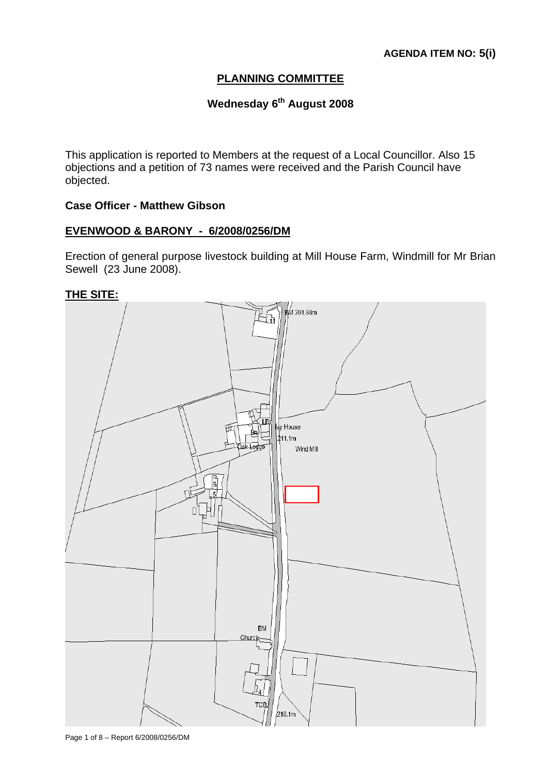# **PLANNING COMMITTEE**

# Wednesday 6<sup>th</sup> August 2008

This application is reported to Members at the request of a Local Councillor. Also 15 objections and a petition of 73 names were received and the Parish Council have objected.

## **Case Officer - Matthew Gibson**

#### **EVENWOOD & BARONY - 6/2008/0256/DM**

Erection of general purpose livestock building at Mill House Farm, Windmill for Mr Brian Sewell (23 June 2008).

**THE SITE:**



Page 1 of 8 – Report 6/2008/0256/DM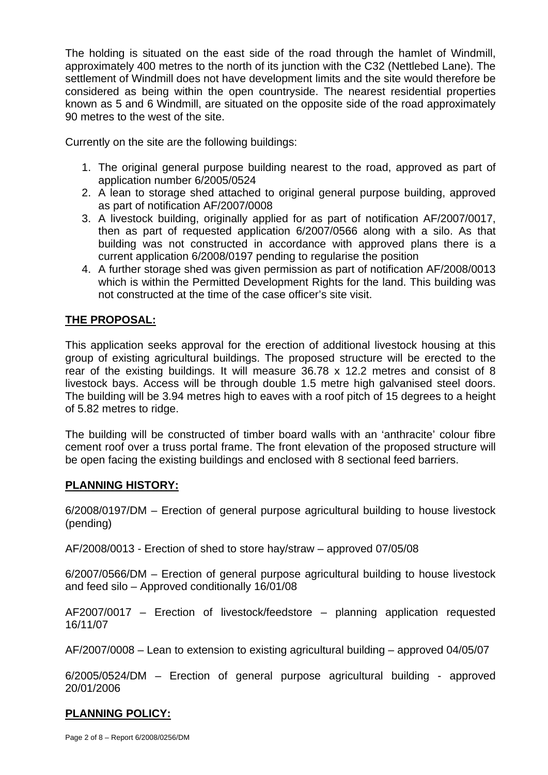The holding is situated on the east side of the road through the hamlet of Windmill, approximately 400 metres to the north of its junction with the C32 (Nettlebed Lane). The settlement of Windmill does not have development limits and the site would therefore be considered as being within the open countryside. The nearest residential properties known as 5 and 6 Windmill, are situated on the opposite side of the road approximately 90 metres to the west of the site.

Currently on the site are the following buildings:

- 1. The original general purpose building nearest to the road, approved as part of application number 6/2005/0524
- 2. A lean to storage shed attached to original general purpose building, approved as part of notification AF/2007/0008
- 3. A livestock building, originally applied for as part of notification AF/2007/0017, then as part of requested application 6/2007/0566 along with a silo. As that building was not constructed in accordance with approved plans there is a current application 6/2008/0197 pending to regularise the position
- 4. A further storage shed was given permission as part of notification AF/2008/0013 which is within the Permitted Development Rights for the land. This building was not constructed at the time of the case officer's site visit.

# **THE PROPOSAL:**

This application seeks approval for the erection of additional livestock housing at this group of existing agricultural buildings. The proposed structure will be erected to the rear of the existing buildings. It will measure 36.78 x 12.2 metres and consist of 8 livestock bays. Access will be through double 1.5 metre high galvanised steel doors. The building will be 3.94 metres high to eaves with a roof pitch of 15 degrees to a height of 5.82 metres to ridge.

The building will be constructed of timber board walls with an 'anthracite' colour fibre cement roof over a truss portal frame. The front elevation of the proposed structure will be open facing the existing buildings and enclosed with 8 sectional feed barriers.

## **PLANNING HISTORY:**

6/2008/0197/DM – Erection of general purpose agricultural building to house livestock (pending)

AF/2008/0013 - Erection of shed to store hay/straw – approved 07/05/08

6/2007/0566/DM – Erection of general purpose agricultural building to house livestock and feed silo – Approved conditionally 16/01/08

AF2007/0017 – Erection of livestock/feedstore – planning application requested 16/11/07

AF/2007/0008 – Lean to extension to existing agricultural building – approved 04/05/07

6/2005/0524/DM – Erection of general purpose agricultural building - approved 20/01/2006

# **PLANNING POLICY:**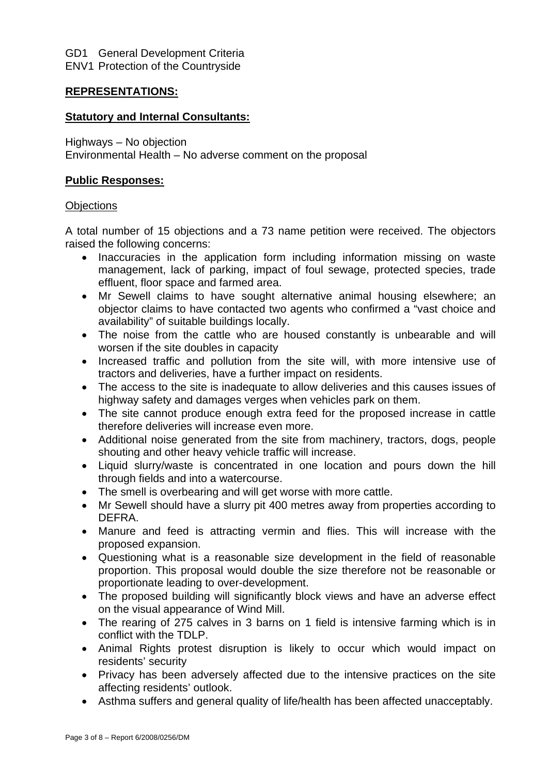GD1 General Development Criteria ENV1 Protection of the Countryside

# **REPRESENTATIONS:**

# **Statutory and Internal Consultants:**

Highways – No objection Environmental Health – No adverse comment on the proposal

# **Public Responses:**

#### **Objections**

A total number of 15 objections and a 73 name petition were received. The objectors raised the following concerns:

- Inaccuracies in the application form including information missing on waste management, lack of parking, impact of foul sewage, protected species, trade effluent, floor space and farmed area.
- Mr Sewell claims to have sought alternative animal housing elsewhere; an objector claims to have contacted two agents who confirmed a "vast choice and availability" of suitable buildings locally.
- The noise from the cattle who are housed constantly is unbearable and will worsen if the site doubles in capacity
- Increased traffic and pollution from the site will, with more intensive use of tractors and deliveries, have a further impact on residents.
- The access to the site is inadequate to allow deliveries and this causes issues of highway safety and damages verges when vehicles park on them.
- The site cannot produce enough extra feed for the proposed increase in cattle therefore deliveries will increase even more.
- Additional noise generated from the site from machinery, tractors, dogs, people shouting and other heavy vehicle traffic will increase.
- Liquid slurry/waste is concentrated in one location and pours down the hill through fields and into a watercourse.
- The smell is overbearing and will get worse with more cattle.
- Mr Sewell should have a slurry pit 400 metres away from properties according to DEFRA.
- Manure and feed is attracting vermin and flies. This will increase with the proposed expansion.
- Questioning what is a reasonable size development in the field of reasonable proportion. This proposal would double the size therefore not be reasonable or proportionate leading to over-development.
- The proposed building will significantly block views and have an adverse effect on the visual appearance of Wind Mill.
- The rearing of 275 calves in 3 barns on 1 field is intensive farming which is in conflict with the TDLP.
- Animal Rights protest disruption is likely to occur which would impact on residents' security
- Privacy has been adversely affected due to the intensive practices on the site affecting residents' outlook.
- Asthma suffers and general quality of life/health has been affected unacceptably.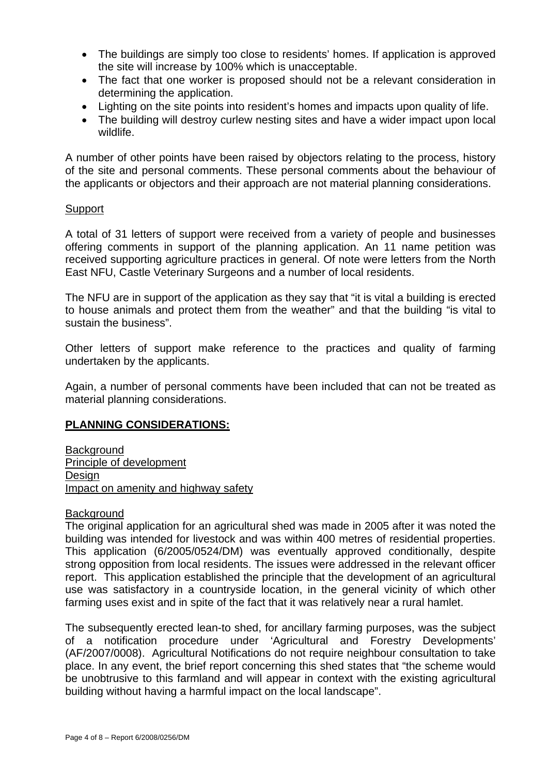- The buildings are simply too close to residents' homes. If application is approved the site will increase by 100% which is unacceptable.
- The fact that one worker is proposed should not be a relevant consideration in determining the application.
- Lighting on the site points into resident's homes and impacts upon quality of life.
- The building will destroy curlew nesting sites and have a wider impact upon local wildlife.

A number of other points have been raised by objectors relating to the process, history of the site and personal comments. These personal comments about the behaviour of the applicants or objectors and their approach are not material planning considerations.

## **Support**

A total of 31 letters of support were received from a variety of people and businesses offering comments in support of the planning application. An 11 name petition was received supporting agriculture practices in general. Of note were letters from the North East NFU, Castle Veterinary Surgeons and a number of local residents.

The NFU are in support of the application as they say that "it is vital a building is erected to house animals and protect them from the weather" and that the building "is vital to sustain the business".

Other letters of support make reference to the practices and quality of farming undertaken by the applicants.

Again, a number of personal comments have been included that can not be treated as material planning considerations.

## **PLANNING CONSIDERATIONS:**

**Background** Principle of development Design Impact on amenity and highway safety

#### **Background**

The original application for an agricultural shed was made in 2005 after it was noted the building was intended for livestock and was within 400 metres of residential properties. This application (6/2005/0524/DM) was eventually approved conditionally, despite strong opposition from local residents. The issues were addressed in the relevant officer report. This application established the principle that the development of an agricultural use was satisfactory in a countryside location, in the general vicinity of which other farming uses exist and in spite of the fact that it was relatively near a rural hamlet.

The subsequently erected lean-to shed, for ancillary farming purposes, was the subject of a notification procedure under 'Agricultural and Forestry Developments' (AF/2007/0008). Agricultural Notifications do not require neighbour consultation to take place. In any event, the brief report concerning this shed states that "the scheme would be unobtrusive to this farmland and will appear in context with the existing agricultural building without having a harmful impact on the local landscape".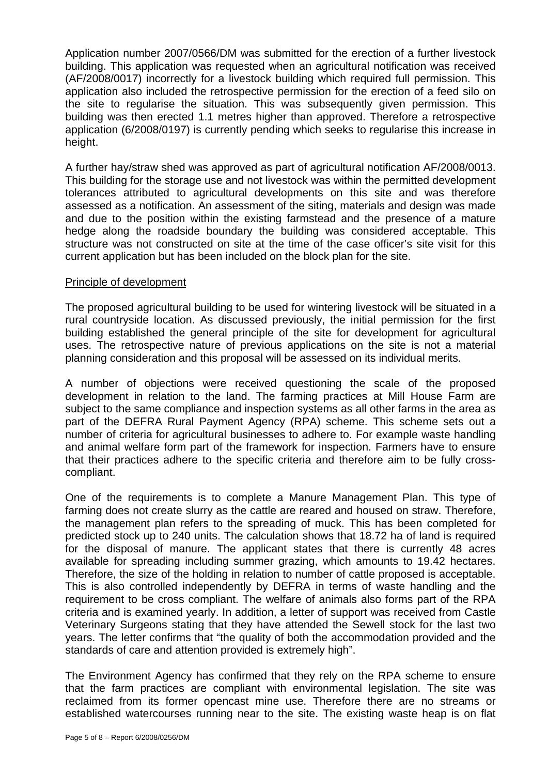Application number 2007/0566/DM was submitted for the erection of a further livestock building. This application was requested when an agricultural notification was received (AF/2008/0017) incorrectly for a livestock building which required full permission. This application also included the retrospective permission for the erection of a feed silo on the site to regularise the situation. This was subsequently given permission. This building was then erected 1.1 metres higher than approved. Therefore a retrospective application (6/2008/0197) is currently pending which seeks to regularise this increase in height.

A further hay/straw shed was approved as part of agricultural notification AF/2008/0013. This building for the storage use and not livestock was within the permitted development tolerances attributed to agricultural developments on this site and was therefore assessed as a notification. An assessment of the siting, materials and design was made and due to the position within the existing farmstead and the presence of a mature hedge along the roadside boundary the building was considered acceptable. This structure was not constructed on site at the time of the case officer's site visit for this current application but has been included on the block plan for the site.

#### Principle of development

The proposed agricultural building to be used for wintering livestock will be situated in a rural countryside location. As discussed previously, the initial permission for the first building established the general principle of the site for development for agricultural uses. The retrospective nature of previous applications on the site is not a material planning consideration and this proposal will be assessed on its individual merits.

A number of objections were received questioning the scale of the proposed development in relation to the land. The farming practices at Mill House Farm are subject to the same compliance and inspection systems as all other farms in the area as part of the DEFRA Rural Payment Agency (RPA) scheme. This scheme sets out a number of criteria for agricultural businesses to adhere to. For example waste handling and animal welfare form part of the framework for inspection. Farmers have to ensure that their practices adhere to the specific criteria and therefore aim to be fully crosscompliant.

One of the requirements is to complete a Manure Management Plan. This type of farming does not create slurry as the cattle are reared and housed on straw. Therefore, the management plan refers to the spreading of muck. This has been completed for predicted stock up to 240 units. The calculation shows that 18.72 ha of land is required for the disposal of manure. The applicant states that there is currently 48 acres available for spreading including summer grazing, which amounts to 19.42 hectares. Therefore, the size of the holding in relation to number of cattle proposed is acceptable. This is also controlled independently by DEFRA in terms of waste handling and the requirement to be cross compliant. The welfare of animals also forms part of the RPA criteria and is examined yearly. In addition, a letter of support was received from Castle Veterinary Surgeons stating that they have attended the Sewell stock for the last two years. The letter confirms that "the quality of both the accommodation provided and the standards of care and attention provided is extremely high".

The Environment Agency has confirmed that they rely on the RPA scheme to ensure that the farm practices are compliant with environmental legislation. The site was reclaimed from its former opencast mine use. Therefore there are no streams or established watercourses running near to the site. The existing waste heap is on flat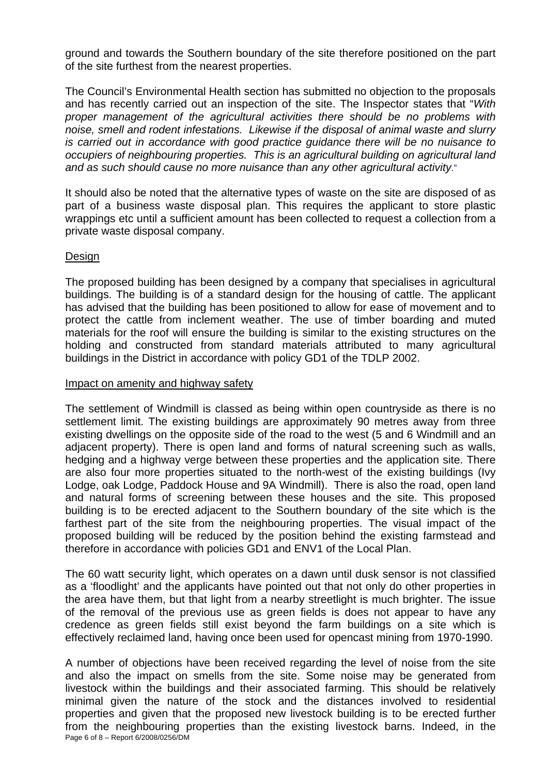ground and towards the Southern boundary of the site therefore positioned on the part of the site furthest from the nearest properties.

The Council's Environmental Health section has submitted no objection to the proposals and has recently carried out an inspection of the site. The Inspector states that "*With proper management of the agricultural activities there should be no problems with noise, smell and rodent infestations. Likewise if the disposal of animal waste and slurry is carried out in accordance with good practice guidance there will be no nuisance to occupiers of neighbouring properties. This is an agricultural building on agricultural land and as such should cause no more nuisance than any other agricultural activity*."

It should also be noted that the alternative types of waste on the site are disposed of as part of a business waste disposal plan. This requires the applicant to store plastic wrappings etc until a sufficient amount has been collected to request a collection from a private waste disposal company.

#### Design

The proposed building has been designed by a company that specialises in agricultural buildings. The building is of a standard design for the housing of cattle. The applicant has advised that the building has been positioned to allow for ease of movement and to protect the cattle from inclement weather. The use of timber boarding and muted materials for the roof will ensure the building is similar to the existing structures on the holding and constructed from standard materials attributed to many agricultural buildings in the District in accordance with policy GD1 of the TDLP 2002.

#### Impact on amenity and highway safety

The settlement of Windmill is classed as being within open countryside as there is no settlement limit. The existing buildings are approximately 90 metres away from three existing dwellings on the opposite side of the road to the west (5 and 6 Windmill and an adjacent property). There is open land and forms of natural screening such as walls, hedging and a highway verge between these properties and the application site. There are also four more properties situated to the north-west of the existing buildings (Ivy Lodge, oak Lodge, Paddock House and 9A Windmill). There is also the road, open land and natural forms of screening between these houses and the site. This proposed building is to be erected adjacent to the Southern boundary of the site which is the farthest part of the site from the neighbouring properties. The visual impact of the proposed building will be reduced by the position behind the existing farmstead and therefore in accordance with policies GD1 and ENV1 of the Local Plan.

The 60 watt security light, which operates on a dawn until dusk sensor is not classified as a 'floodlight' and the applicants have pointed out that not only do other properties in the area have them, but that light from a nearby streetlight is much brighter. The issue of the removal of the previous use as green fields is does not appear to have any credence as green fields still exist beyond the farm buildings on a site which is effectively reclaimed land, having once been used for opencast mining from 1970-1990.

Page 6 of 8 – Report 6/2008/0256/DM A number of objections have been received regarding the level of noise from the site and also the impact on smells from the site. Some noise may be generated from livestock within the buildings and their associated farming. This should be relatively minimal given the nature of the stock and the distances involved to residential properties and given that the proposed new livestock building is to be erected further from the neighbouring properties than the existing livestock barns. Indeed, in the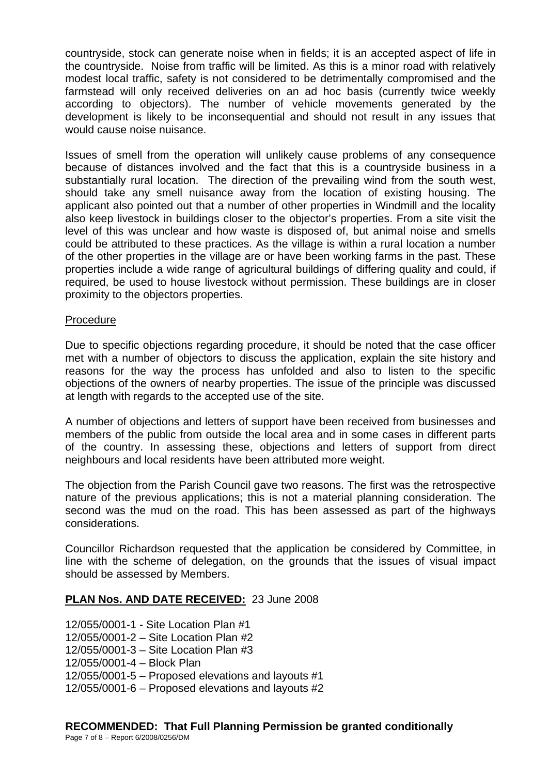countryside, stock can generate noise when in fields; it is an accepted aspect of life in the countryside. Noise from traffic will be limited. As this is a minor road with relatively modest local traffic, safety is not considered to be detrimentally compromised and the farmstead will only received deliveries on an ad hoc basis (currently twice weekly according to objectors). The number of vehicle movements generated by the development is likely to be inconsequential and should not result in any issues that would cause noise nuisance.

Issues of smell from the operation will unlikely cause problems of any consequence because of distances involved and the fact that this is a countryside business in a substantially rural location. The direction of the prevailing wind from the south west, should take any smell nuisance away from the location of existing housing. The applicant also pointed out that a number of other properties in Windmill and the locality also keep livestock in buildings closer to the objector's properties. From a site visit the level of this was unclear and how waste is disposed of, but animal noise and smells could be attributed to these practices. As the village is within a rural location a number of the other properties in the village are or have been working farms in the past. These properties include a wide range of agricultural buildings of differing quality and could, if required, be used to house livestock without permission. These buildings are in closer proximity to the objectors properties.

#### Procedure

Due to specific objections regarding procedure, it should be noted that the case officer met with a number of objectors to discuss the application, explain the site history and reasons for the way the process has unfolded and also to listen to the specific objections of the owners of nearby properties. The issue of the principle was discussed at length with regards to the accepted use of the site.

A number of objections and letters of support have been received from businesses and members of the public from outside the local area and in some cases in different parts of the country. In assessing these, objections and letters of support from direct neighbours and local residents have been attributed more weight.

The objection from the Parish Council gave two reasons. The first was the retrospective nature of the previous applications; this is not a material planning consideration. The second was the mud on the road. This has been assessed as part of the highways considerations.

Councillor Richardson requested that the application be considered by Committee, in line with the scheme of delegation, on the grounds that the issues of visual impact should be assessed by Members.

# **PLAN Nos. AND DATE RECEIVED:** 23 June 2008

12/055/0001-1 - Site Location Plan #1 12/055/0001-2 – Site Location Plan #2 12/055/0001-3 – Site Location Plan #3 12/055/0001-4 – Block Plan 12/055/0001-5 – Proposed elevations and layouts #1 12/055/0001-6 – Proposed elevations and layouts #2